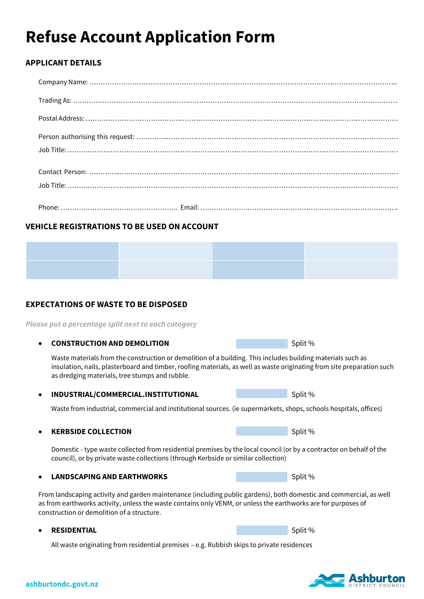# **Refuse Account Application Form**

## **APPLICANT DETAILS**

# **VEHICLE REGISTRATIONS TO BE USED ON ACCOUNT**



# **EXPECTATIONS OF WASTE TO BE DISPOSED**

*Please put a percentage split next to each category* 

### **CONSTRUCTION AND DEMOLITION Split %** Split %

Waste materials from the construction or demolition of a building. This includes building materials such as insulation, nails, plasterboard and timber, roofing materials, as well as waste originating from site preparation such as dredging materials, tree stumps and rubble.

### **INDUSTRIAL/COMMERCIAL.INSTITUTIONAL** Split %

Waste from industrial, commercial and institutional sources. (ie supermarkets, shops, schools hospitals, offices)

### **KERBSIDE COLLECTION Split %** Split %

Domestic - type waste collected from residential premises by the local council (or by a contractor on behalf of the council), or by private waste collections (through Kerbside or similar collection)

### **LANDSCAPING AND EARTHWORKS** Split % Split %

From landscaping activity and garden maintenance (including public gardens), both domestic and commercial, as well as from earthworks activity, unless the waste contains only VENM, or unless the earthworks are for purposes of construction or demolition of a structure.

#### **RESIDENTIAL** Split %

All waste originating from residential premises – e.g. Rubbish skips to private residences